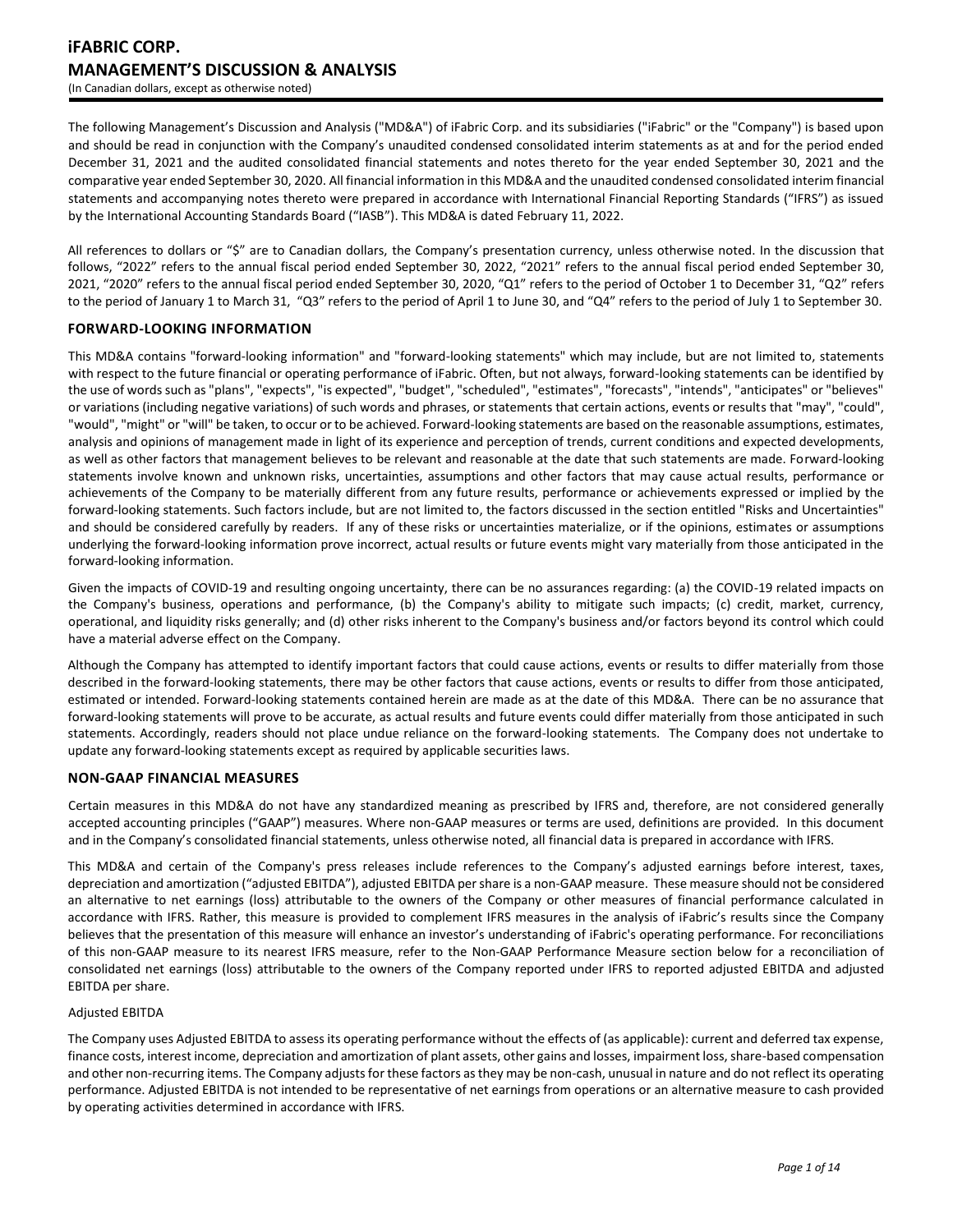The following Management's Discussion and Analysis ("MD&A") of iFabric Corp. and its subsidiaries ("iFabric" or the "Company") is based upon and should be read in conjunction with the Company's unaudited condensed consolidated interim statements as at and for the period ended December 31, 2021 and the audited consolidated financial statements and notes thereto for the year ended September 30, 2021 and the comparative year ended September 30, 2020. All financial information in this MD&A and the unaudited condensed consolidated interim financial statements and accompanying notes thereto were prepared in accordance with International Financial Reporting Standards ("IFRS") as issued by the International Accounting Standards Board ("IASB"). This MD&A is dated February 11, 2022.

All references to dollars or "\$" are to Canadian dollars, the Company's presentation currency, unless otherwise noted. In the discussion that follows, "2022" refers to the annual fiscal period ended September 30, 2022, "2021" refers to the annual fiscal period ended September 30, 2021, "2020" refers to the annual fiscal period ended September 30, 2020, "Q1" refers to the period of October 1 to December 31, "Q2" refers to the period of January 1 to March 31, "Q3" refers to the period of April 1 to June 30, and "Q4" refers to the period of July 1 to September 30.

# **FORWARD-LOOKING INFORMATION**

This MD&A contains "forward-looking information" and "forward-looking statements" which may include, but are not limited to, statements with respect to the future financial or operating performance of iFabric. Often, but not always, forward-looking statements can be identified by the use of words such as "plans", "expects", "is expected", "budget", "scheduled", "estimates", "forecasts", "intends", "anticipates" or "believes" or variations (including negative variations) of such words and phrases, or statements that certain actions, events or results that "may", "could", "would", "might" or "will" be taken, to occur or to be achieved. Forward-looking statements are based on the reasonable assumptions, estimates, analysis and opinions of management made in light of its experience and perception of trends, current conditions and expected developments, as well as other factors that management believes to be relevant and reasonable at the date that such statements are made. Forward-looking statements involve known and unknown risks, uncertainties, assumptions and other factors that may cause actual results, performance or achievements of the Company to be materially different from any future results, performance or achievements expressed or implied by the forward-looking statements. Such factors include, but are not limited to, the factors discussed in the section entitled "Risks and Uncertainties" and should be considered carefully by readers. If any of these risks or uncertainties materialize, or if the opinions, estimates or assumptions underlying the forward-looking information prove incorrect, actual results or future events might vary materially from those anticipated in the forward-looking information.

Given the impacts of COVID-19 and resulting ongoing uncertainty, there can be no assurances regarding: (a) the COVID-19 related impacts on the Company's business, operations and performance, (b) the Company's ability to mitigate such impacts; (c) credit, market, currency, operational, and liquidity risks generally; and (d) other risks inherent to the Company's business and/or factors beyond its control which could have a material adverse effect on the Company.

Although the Company has attempted to identify important factors that could cause actions, events or results to differ materially from those described in the forward-looking statements, there may be other factors that cause actions, events or results to differ from those anticipated, estimated or intended. Forward-looking statements contained herein are made as at the date of this MD&A. There can be no assurance that forward-looking statements will prove to be accurate, as actual results and future events could differ materially from those anticipated in such statements. Accordingly, readers should not place undue reliance on the forward-looking statements. The Company does not undertake to update any forward-looking statements except as required by applicable securities laws.

# **NON-GAAP FINANCIAL MEASURES**

Certain measures in this MD&A do not have any standardized meaning as prescribed by IFRS and, therefore, are not considered generally accepted accounting principles ("GAAP") measures. Where non-GAAP measures or terms are used, definitions are provided. In this document and in the Company's consolidated financial statements, unless otherwise noted, all financial data is prepared in accordance with IFRS.

This MD&A and certain of the Company's press releases include references to the Company's adjusted earnings before interest, taxes, depreciation and amortization ("adjusted EBITDA"), adjusted EBITDA per share is a non-GAAP measure. These measure should not be considered an alternative to net earnings (loss) attributable to the owners of the Company or other measures of financial performance calculated in accordance with IFRS. Rather, this measure is provided to complement IFRS measures in the analysis of iFabric's results since the Company believes that the presentation of this measure will enhance an investor's understanding of iFabric's operating performance. For reconciliations of this non-GAAP measure to its nearest IFRS measure, refer to the Non-GAAP Performance Measure section below for a reconciliation of consolidated net earnings (loss) attributable to the owners of the Company reported under IFRS to reported adjusted EBITDA and adjusted EBITDA per share.

#### Adjusted EBITDA

The Company uses Adjusted EBITDA to assess its operating performance without the effects of (as applicable): current and deferred tax expense, finance costs, interest income, depreciation and amortization of plant assets, other gains and losses, impairment loss, share-based compensation and other non-recurring items. The Company adjusts for these factors as they may be non-cash, unusual in nature and do not reflect its operating performance. Adjusted EBITDA is not intended to be representative of net earnings from operations or an alternative measure to cash provided by operating activities determined in accordance with IFRS.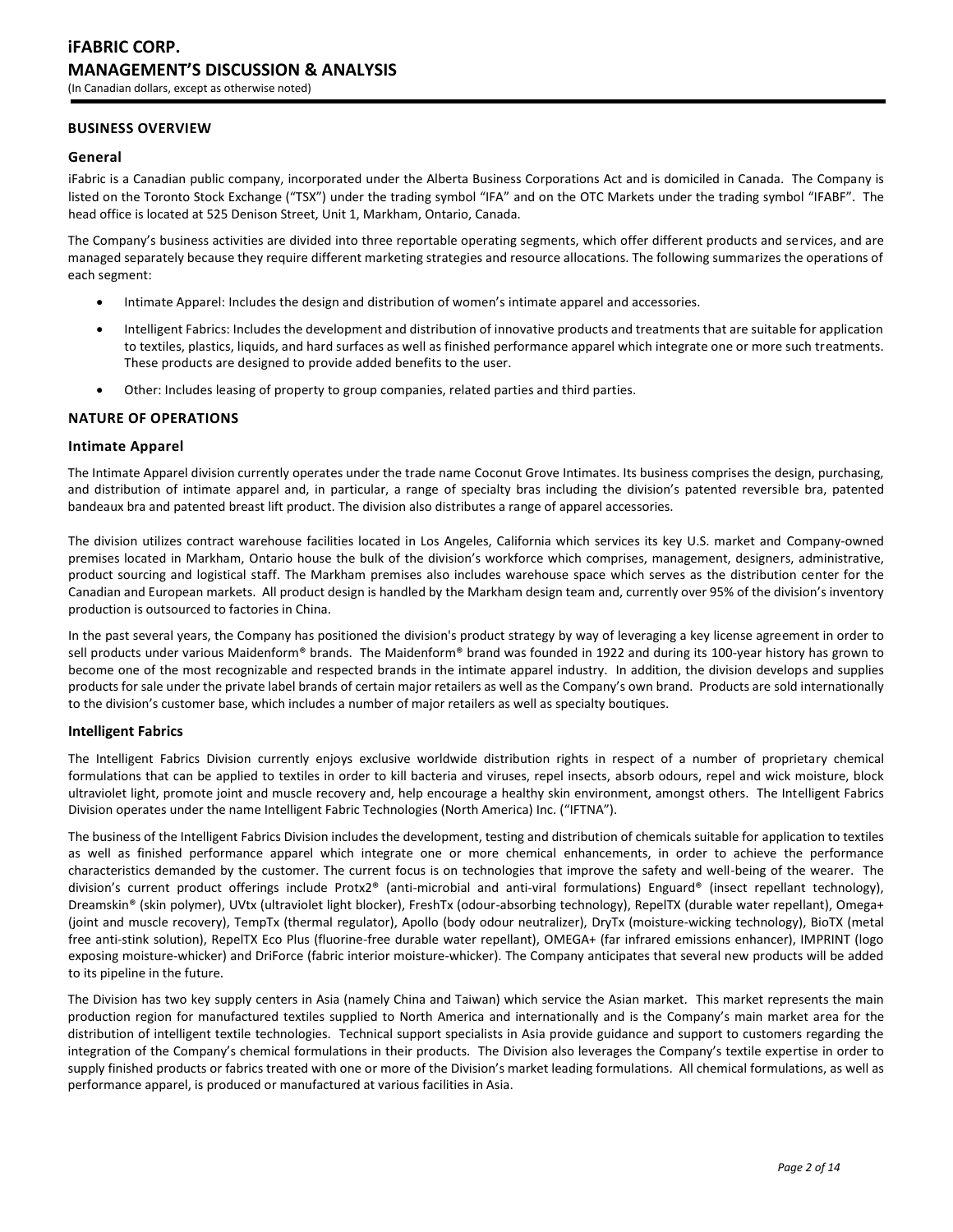# **BUSINESS OVERVIEW**

#### **General**

iFabric is a Canadian public company, incorporated under the Alberta Business Corporations Act and is domiciled in Canada. The Company is listed on the Toronto Stock Exchange ("TSX") under the trading symbol "IFA" and on the OTC Markets under the trading symbol "IFABF". The head office is located at 525 Denison Street, Unit 1, Markham, Ontario, Canada.

The Company's business activities are divided into three reportable operating segments, which offer different products and services, and are managed separately because they require different marketing strategies and resource allocations. The following summarizes the operations of each segment:

- Intimate Apparel: Includes the design and distribution of women's intimate apparel and accessories.
- Intelligent Fabrics: Includes the development and distribution of innovative products and treatments that are suitable for application to textiles, plastics, liquids, and hard surfaces as well as finished performance apparel which integrate one or more such treatments. These products are designed to provide added benefits to the user.
- Other: Includes leasing of property to group companies, related parties and third parties.

#### **NATURE OF OPERATIONS**

#### **Intimate Apparel**

The Intimate Apparel division currently operates under the trade name Coconut Grove Intimates. Its business comprises the design, purchasing, and distribution of intimate apparel and, in particular, a range of specialty bras including the division's patented reversible bra, patented bandeaux bra and patented breast lift product. The division also distributes a range of apparel accessories.

The division utilizes contract warehouse facilities located in Los Angeles, California which services its key U.S. market and Company-owned premises located in Markham, Ontario house the bulk of the division's workforce which comprises, management, designers, administrative, product sourcing and logistical staff. The Markham premises also includes warehouse space which serves as the distribution center for the Canadian and European markets. All product design is handled by the Markham design team and, currently over 95% of the division's inventory production is outsourced to factories in China.

In the past several years, the Company has positioned the division's product strategy by way of leveraging a key license agreement in order to sell products under various Maidenform® brands. The Maidenform® brand was founded in 1922 and during its 100-year history has grown to become one of the most recognizable and respected brands in the intimate apparel industry. In addition, the division develops and supplies products for sale under the private label brands of certain major retailers as well as the Company's own brand. Products are sold internationally to the division's customer base, which includes a number of major retailers as well as specialty boutiques.

#### **Intelligent Fabrics**

The Intelligent Fabrics Division currently enjoys exclusive worldwide distribution rights in respect of a number of proprietary chemical formulations that can be applied to textiles in order to kill bacteria and viruses, repel insects, absorb odours, repel and wick moisture, block ultraviolet light, promote joint and muscle recovery and, help encourage a healthy skin environment, amongst others. The Intelligent Fabrics Division operates under the name Intelligent Fabric Technologies (North America) Inc. ("IFTNA").

The business of the Intelligent Fabrics Division includes the development, testing and distribution of chemicals suitable for application to textiles as well as finished performance apparel which integrate one or more chemical enhancements, in order to achieve the performance characteristics demanded by the customer. The current focus is on technologies that improve the safety and well-being of the wearer. The division's current product offerings include Protx2® (anti-microbial and anti-viral formulations) Enguard® (insect repellant technology), Dreamskin® (skin polymer), UVtx (ultraviolet light blocker), FreshTx (odour-absorbing technology), RepelTX (durable water repellant), Omega+ (joint and muscle recovery), TempTx (thermal regulator), Apollo (body odour neutralizer), DryTx (moisture-wicking technology), BioTX (metal free anti-stink solution), RepelTX Eco Plus (fluorine-free durable water repellant), OMEGA+ (far infrared emissions enhancer), IMPRINT (logo exposing moisture-whicker) and DriForce (fabric interior moisture-whicker). The Company anticipates that several new products will be added to its pipeline in the future.

The Division has two key supply centers in Asia (namely China and Taiwan) which service the Asian market. This market represents the main production region for manufactured textiles supplied to North America and internationally and is the Company's main market area for the distribution of intelligent textile technologies. Technical support specialists in Asia provide guidance and support to customers regarding the integration of the Company's chemical formulations in their products. The Division also leverages the Company's textile expertise in order to supply finished products or fabrics treated with one or more of the Division's market leading formulations. All chemical formulations, as well as performance apparel, is produced or manufactured at various facilities in Asia.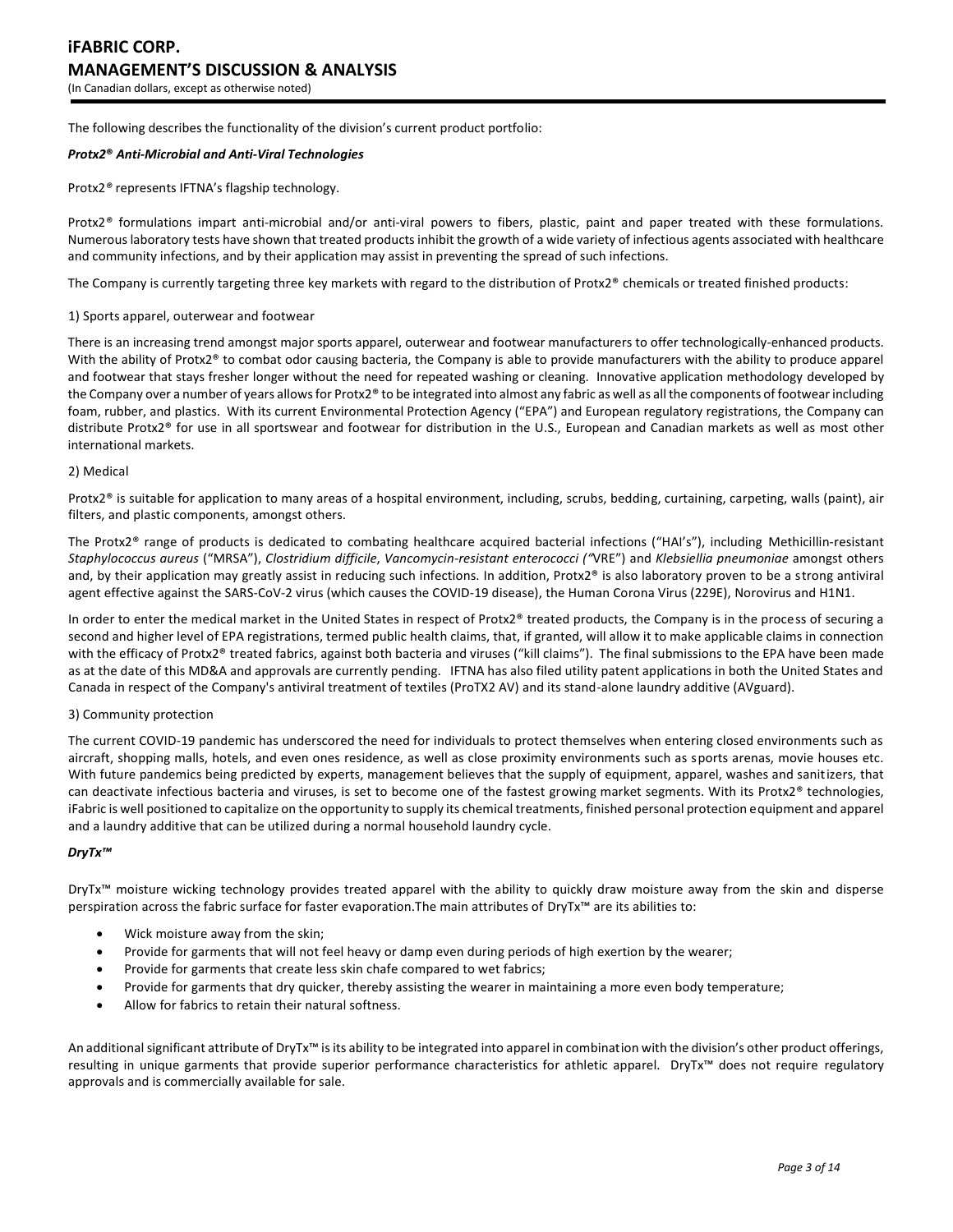The following describes the functionality of the division's current product portfolio:

#### *Protx2***®** *Anti-Microbial and Anti-Viral Technologies*

Protx2*®* represents IFTNA's flagship technology.

Protx2*®* formulations impart anti-microbial and/or anti-viral powers to fibers, plastic, paint and paper treated with these formulations. Numerous laboratory tests have shown that treated products inhibit the growth of a wide variety of infectious agents associated with healthcare and community infections, and by their application may assist in preventing the spread of such infections.

The Company is currently targeting three key markets with regard to the distribution of Protx2® chemicals or treated finished products:

#### 1) Sports apparel, outerwear and footwear

There is an increasing trend amongst major sports apparel, outerwear and footwear manufacturers to offer technologically-enhanced products. With the ability of Protx2® to combat odor causing bacteria, the Company is able to provide manufacturers with the ability to produce apparel and footwear that stays fresher longer without the need for repeated washing or cleaning. Innovative application methodology developed by the Company over a number of years allows for Protx2® to be integrated into almost any fabric as well as all the components of footwear including foam, rubber, and plastics. With its current Environmental Protection Agency ("EPA") and European regulatory registrations, the Company can distribute Protx2® for use in all sportswear and footwear for distribution in the U.S., European and Canadian markets as well as most other international markets.

#### 2) Medical

Protx2® is suitable for application to many areas of a hospital environment, including, scrubs, bedding, curtaining, carpeting, walls (paint), air filters, and plastic components, amongst others.

The Protx2® range of products is dedicated to combating healthcare acquired bacterial infections ("HAI's"), including Methicillin-resistant *Staphylococcus aureus* ("MRSA"), *Clostridium difficile*, *Vancomycin-resistant enterococci ("*VRE") and *Klebsiellia pneumoniae* amongst others and, by their application may greatly assist in reducing such infections. In addition, Protx2® is also laboratory proven to be a strong antiviral agent effective against the SARS-CoV-2 virus (which causes the COVID-19 disease), the Human Corona Virus (229E), Norovirus and H1N1.

In order to enter the medical market in the United States in respect of Protx2® treated products, the Company is in the process of securing a second and higher level of EPA registrations, termed public health claims, that, if granted, will allow it to make applicable claims in connection with the efficacy of Protx2® treated fabrics, against both bacteria and viruses ("kill claims"). The final submissions to the EPA have been made as at the date of this MD&A and approvals are currently pending. IFTNA has also filed utility patent applications in both the United States and Canada in respect of the Company's antiviral treatment of textiles (ProTX2 AV) and its stand-alone laundry additive (AVguard).

#### 3) Community protection

The current COVID-19 pandemic has underscored the need for individuals to protect themselves when entering closed environments such as aircraft, shopping malls, hotels, and even ones residence, as well as close proximity environments such as sports arenas, movie houses etc. With future pandemics being predicted by experts, management believes that the supply of equipment, apparel, washes and sanitizers, that can deactivate infectious bacteria and viruses, is set to become one of the fastest growing market segments. With its Protx2® technologies, iFabric is well positioned to capitalize on the opportunity to supply its chemical treatments, finished personal protection equipment and apparel and a laundry additive that can be utilized during a normal household laundry cycle.

#### *DryTx™*

DryTx™ moisture wicking technology provides treated apparel with the ability to quickly draw moisture away from the skin and disperse perspiration across the fabric surface for faster evaporation.The main attributes of DryTx™ are its abilities to:

- Wick moisture away from the skin;
- Provide for garments that will not feel heavy or damp even during periods of high exertion by the wearer;
- Provide for garments that create less skin chafe compared to wet fabrics;
- Provide for garments that dry quicker, thereby assisting the wearer in maintaining a more even body temperature;
- Allow for fabrics to retain their natural softness.

An additional significant attribute of DryTx<sup>™</sup> is its ability to be integrated into apparel in combination with the division's other product offerings, resulting in unique garments that provide superior performance characteristics for athletic apparel. DryTx™ does not require regulatory approvals and is commercially available for sale.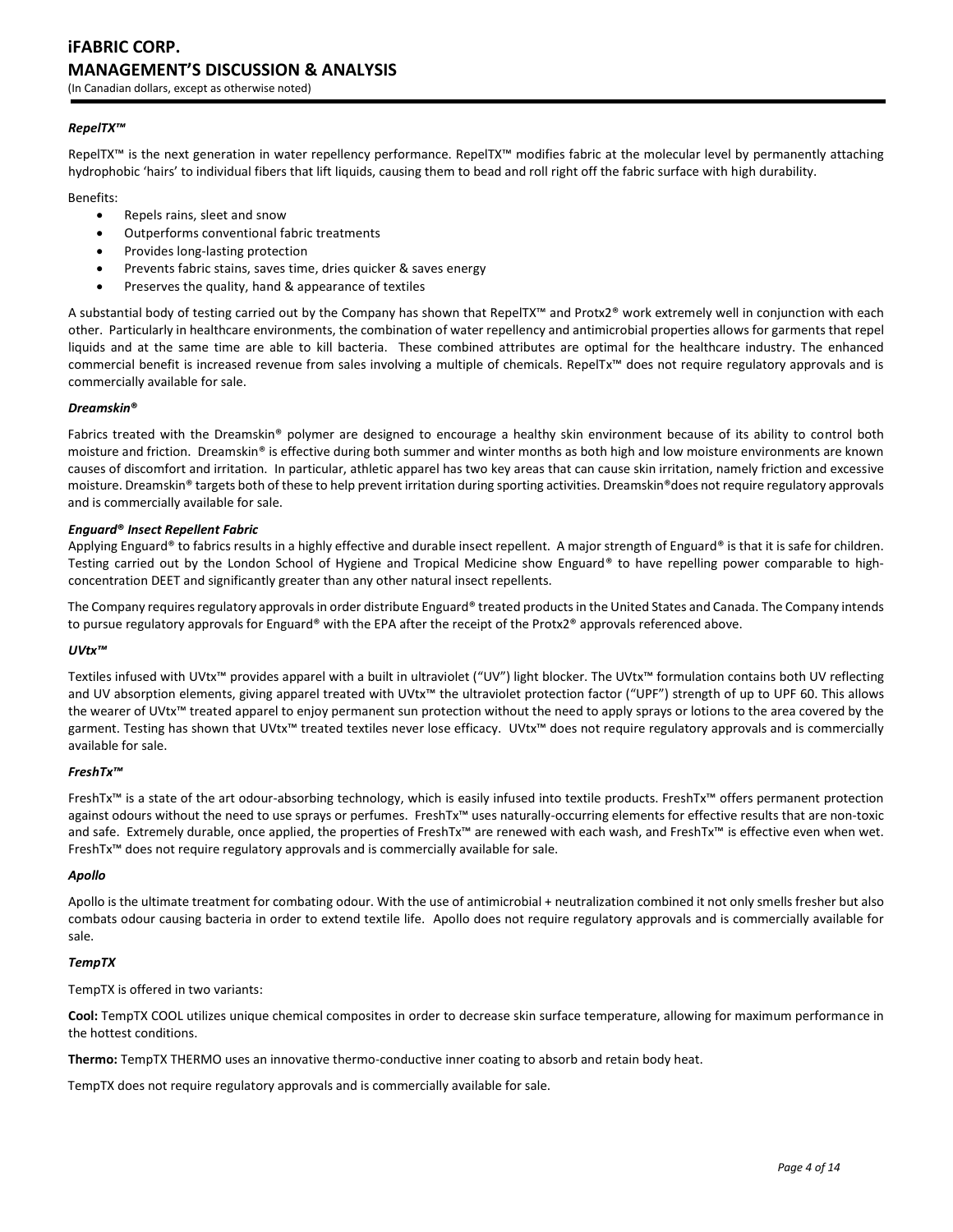# **iFABRIC CORP. MANAGEMENT'S DISCUSSION & ANALYSIS**

(In Canadian dollars, except as otherwise noted)

## *RepelTX™*

RepelTX™ is the next generation in water repellency performance. RepelTX™ modifies fabric at the molecular level by permanently attaching hydrophobic 'hairs' to individual fibers that lift liquids, causing them to bead and roll right off the fabric surface with high durability.

Benefits:

- Repels rains, sleet and snow
- Outperforms conventional fabric treatments
- Provides long-lasting protection
- Prevents fabric stains, saves time, dries quicker & saves energy
- Preserves the quality, hand & appearance of textiles

A substantial body of testing carried out by the Company has shown that RepelTX™ and Protx2® work extremely well in conjunction with each other. Particularly in healthcare environments, the combination of water repellency and antimicrobial properties allows for garments that repel liquids and at the same time are able to kill bacteria. These combined attributes are optimal for the healthcare industry. The enhanced commercial benefit is increased revenue from sales involving a multiple of chemicals. RepelTx™ does not require regulatory approvals and is commercially available for sale.

#### *Dreamskin***®**

Fabrics treated with the Dreamskin® polymer are designed to encourage a healthy skin environment because of its ability to control both moisture and friction. Dreamskin® is effective during both summer and winter months as both high and low moisture environments are known causes of discomfort and irritation. In particular, athletic apparel has two key areas that can cause skin irritation, namely friction and excessive moisture. Dreamskin® targets both of these to help prevent irritation during sporting activities. Dreamskin®does not require regulatory approvals and is commercially available for sale.

#### *Enguard***®** *Insect Repellent Fabric*

Applying Enguard® to fabrics results in a highly effective and durable insect repellent. A major strength of Enguard® is that it is safe for children. Testing carried out by the London School of Hygiene and Tropical Medicine show Enguard® to have repelling power comparable to highconcentration DEET and significantly greater than any other natural insect repellents.

The Company requires regulatory approvals in order distribute Enguard® treated products in the United States and Canada. The Company intends to pursue regulatory approvals for Enguard® with the EPA after the receipt of the Protx2® approvals referenced above.

#### *UVtx™*

Textiles infused with UVtx™ provides apparel with a built in ultraviolet ("UV") light blocker. The UVtx™ formulation contains both UV reflecting and UV absorption elements, giving apparel treated with UVtx™ the ultraviolet protection factor ("UPF") strength of up to UPF 60. This allows the wearer of UVtx™ treated apparel to enjoy permanent sun protection without the need to apply sprays or lotions to the area covered by the garment. Testing has shown that UVtx™ treated textiles never lose efficacy. UVtx™ does not require regulatory approvals and is commercially available for sale.

#### *FreshTx™*

FreshTx™ is a state of the art odour-absorbing technology, which is easily infused into textile products. FreshTx™ offers permanent protection against odours without the need to use sprays or perfumes. FreshTx™ uses naturally-occurring elements for effective results that are non-toxic and safe. Extremely durable, once applied, the properties of FreshTx™ are renewed with each wash, and FreshTx™ is effective even when wet. FreshTx™ does not require regulatory approvals and is commercially available for sale.

#### *Apollo*

Apollo is the ultimate treatment for combating odour. With the use of antimicrobial + neutralization combined it not only smells fresher but also combats odour causing bacteria in order to extend textile life. Apollo does not require regulatory approvals and is commercially available for sale.

#### *TempTX*

TempTX is offered in two variants:

**Cool:** TempTX COOL utilizes unique chemical composites in order to decrease skin surface temperature, allowing for maximum performance in the hottest conditions.

**Thermo:** TempTX THERMO uses an innovative thermo-conductive inner coating to absorb and retain body heat.

TempTX does not require regulatory approvals and is commercially available for sale.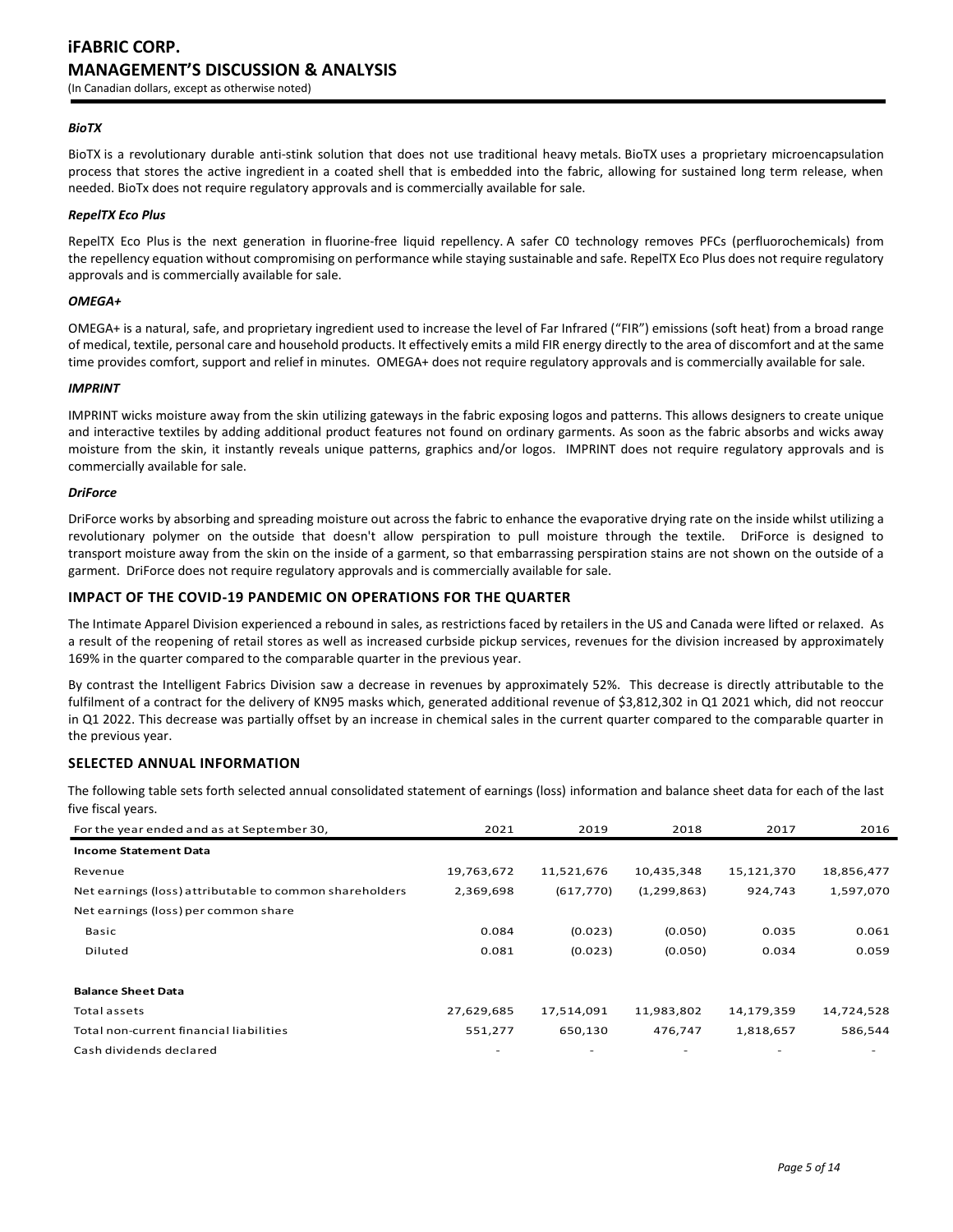#### *BioTX*

BioTX is a revolutionary durable anti-stink solution that does not use traditional heavy metals. BioTX uses a proprietary microencapsulation process that stores the active ingredient in a coated shell that is embedded into the fabric, allowing for sustained long term release, when needed. BioTx does not require regulatory approvals and is commercially available for sale.

#### *RepelTX Eco Plus*

RepelTX Eco Plus is the next generation in fluorine-free liquid repellency. A safer C0 technology removes PFCs (perfluorochemicals) from the repellency equation without compromising on performance while staying sustainable and safe. RepelTX Eco Plus does not require regulatory approvals and is commercially available for sale.

#### *OMEGA+*

OMEGA+ is a natural, safe, and proprietary ingredient used to increase the level of Far Infrared ("FIR") emissions (soft heat) from a broad range of medical, textile, personal care and household products. It effectively emits a mild FIR energy directly to the area of discomfort and at the same time provides comfort, support and relief in minutes. OMEGA+ does not require regulatory approvals and is commercially available for sale.

#### *IMPRINT*

IMPRINT wicks moisture away from the skin utilizing gateways in the fabric exposing logos and patterns. This allows designers to create unique and interactive textiles by adding additional product features not found on ordinary garments. As soon as the fabric absorbs and wicks away moisture from the skin, it instantly reveals unique patterns, graphics and/or logos. IMPRINT does not require regulatory approvals and is commercially available for sale.

#### *DriForce*

DriForce works by absorbing and spreading moisture out across the fabric to enhance the evaporative drying rate on the inside whilst utilizing a revolutionary polymer on the outside that doesn't allow perspiration to pull moisture through the textile. DriForce is designed to transport moisture away from the skin on the inside of a garment, so that embarrassing perspiration stains are not shown on the outside of a garment. DriForce does not require regulatory approvals and is commercially available for sale.

#### **IMPACT OF THE COVID-19 PANDEMIC ON OPERATIONS FOR THE QUARTER**

The Intimate Apparel Division experienced a rebound in sales, as restrictions faced by retailers in the US and Canada were lifted or relaxed. As a result of the reopening of retail stores as well as increased curbside pickup services, revenues for the division increased by approximately 169% in the quarter compared to the comparable quarter in the previous year.

By contrast the Intelligent Fabrics Division saw a decrease in revenues by approximately 52%. This decrease is directly attributable to the fulfilment of a contract for the delivery of KN95 masks which, generated additional revenue of \$3,812,302 in Q1 2021 which, did not reoccur in Q1 2022. This decrease was partially offset by an increase in chemical sales in the current quarter compared to the comparable quarter in the previous year.

# **SELECTED ANNUAL INFORMATION**

The following table sets forth selected annual consolidated statement of earnings (loss) information and balance sheet data for each of the last five fiscal years.

| For the year ended and as at September 30,              | 2021       | 2019       | 2018          | 2017                     | 2016       |
|---------------------------------------------------------|------------|------------|---------------|--------------------------|------------|
| <b>Income Statement Data</b>                            |            |            |               |                          |            |
| Revenue                                                 | 19,763,672 | 11,521,676 | 10,435,348    | 15,121,370               | 18,856,477 |
| Net earnings (loss) attributable to common shareholders | 2,369,698  | (617, 770) | (1, 299, 863) | 924,743                  | 1,597,070  |
| Net earnings (loss) per common share                    |            |            |               |                          |            |
| Basic                                                   | 0.084      | (0.023)    | (0.050)       | 0.035                    | 0.061      |
| Diluted                                                 | 0.081      | (0.023)    | (0.050)       | 0.034                    | 0.059      |
|                                                         |            |            |               |                          |            |
| <b>Balance Sheet Data</b>                               |            |            |               |                          |            |
| Total assets                                            | 27,629,685 | 17,514,091 | 11,983,802    | 14,179,359               | 14,724,528 |
| Total non-current financial liabilities                 | 551,277    | 650,130    | 476,747       | 1,818,657                | 586,544    |
| Cash dividends declared                                 |            |            |               | $\overline{\phantom{a}}$ |            |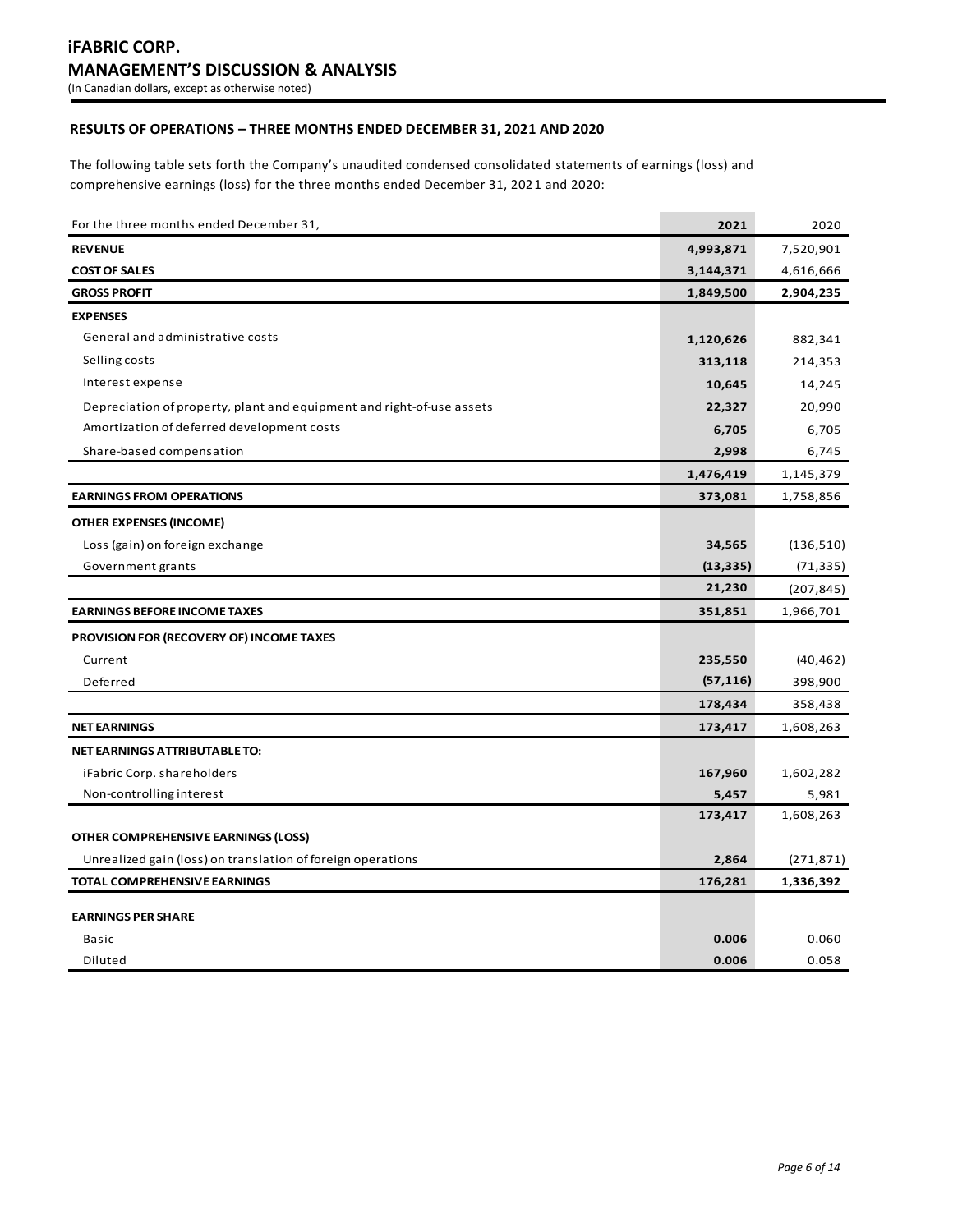# **RESULTS OF OPERATIONS – THREE MONTHS ENDED DECEMBER 31, 2021 AND 2020**

The following table sets forth the Company's unaudited condensed consolidated statements of earnings (loss) and comprehensive earnings (loss) for the three months ended December 31, 2021 and 2020:

| For the three months ended December 31,                               | 2021      | 2020       |
|-----------------------------------------------------------------------|-----------|------------|
| <b>REVENUE</b>                                                        | 4,993,871 | 7,520,901  |
| <b>COST OF SALES</b>                                                  | 3,144,371 | 4,616,666  |
| <b>GROSS PROFIT</b>                                                   | 1,849,500 | 2,904,235  |
| <b>EXPENSES</b>                                                       |           |            |
| General and administrative costs                                      | 1,120,626 | 882,341    |
| Selling costs                                                         | 313,118   | 214,353    |
| Interest expense                                                      | 10,645    | 14,245     |
| Depreciation of property, plant and equipment and right-of-use assets | 22,327    | 20,990     |
| Amortization of deferred development costs                            | 6,705     | 6,705      |
| Share-based compensation                                              | 2,998     | 6,745      |
|                                                                       | 1,476,419 | 1,145,379  |
| <b>EARNINGS FROM OPERATIONS</b>                                       | 373,081   | 1,758,856  |
| <b>OTHER EXPENSES (INCOME)</b>                                        |           |            |
| Loss (gain) on foreign exchange                                       | 34,565    | (136, 510) |
| Government grants                                                     | (13, 335) | (71, 335)  |
|                                                                       | 21,230    | (207, 845) |
| <b>EARNINGS BEFORE INCOME TAXES</b>                                   | 351,851   | 1,966,701  |
| PROVISION FOR (RECOVERY OF) INCOME TAXES                              |           |            |
| Current                                                               | 235,550   | (40, 462)  |
| Deferred                                                              | (57, 116) | 398,900    |
|                                                                       | 178,434   | 358,438    |
| <b>NET EARNINGS</b>                                                   | 173,417   | 1,608,263  |
| NET EARNINGS ATTRIBUTABLE TO:                                         |           |            |
| iFabric Corp. shareholders                                            | 167,960   | 1,602,282  |
| Non-controlling interest                                              | 5,457     | 5,981      |
|                                                                       | 173,417   | 1,608,263  |
| OTHER COMPREHENSIVE EARNINGS (LOSS)                                   |           |            |
| Unrealized gain (loss) on translation of foreign operations           | 2,864     | (271, 871) |
| <b>TOTAL COMPREHENSIVE EARNINGS</b>                                   | 176,281   | 1,336,392  |
| <b>EARNINGS PER SHARE</b>                                             |           |            |
| Basic                                                                 | 0.006     | 0.060      |
| Diluted                                                               | 0.006     | 0.058      |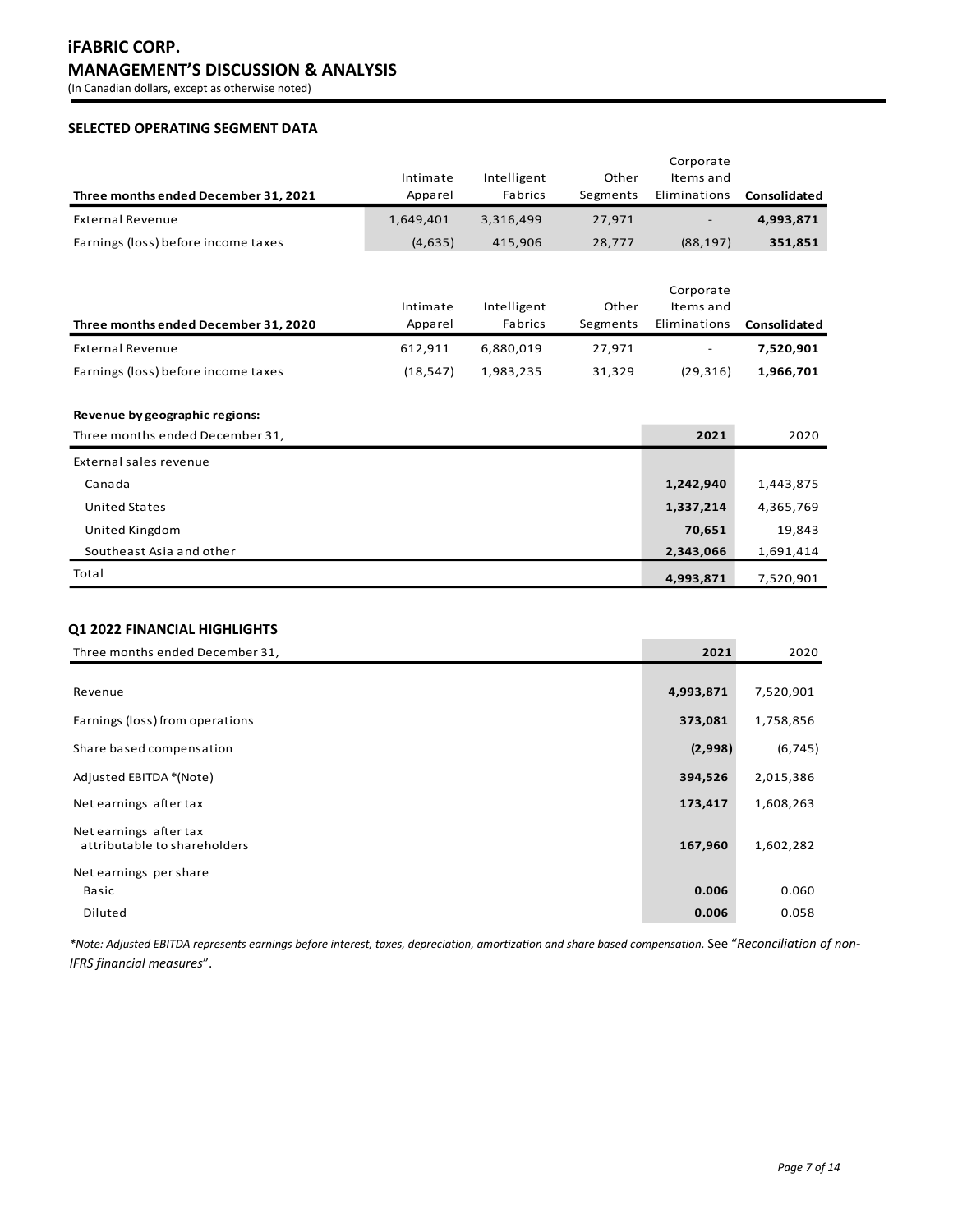# **iFABRIC CORP. MANAGEMENT'S DISCUSSION & ANALYSIS**

(In Canadian dollars, except as otherwise noted)

# **SELECTED OPERATING SEGMENT DATA**

|                                      |           |             |          | Corporate                |              |
|--------------------------------------|-----------|-------------|----------|--------------------------|--------------|
|                                      | Intimate  | Intelligent | Other    | Items and                |              |
| Three months ended December 31, 2021 | Apparel   | Fabrics     | Segments | Eliminations             | Consolidated |
| <b>External Revenue</b>              | 1,649,401 | 3.316.499   | 27,971   | $\overline{\phantom{a}}$ | 4,993,871    |
| Earnings (loss) before income taxes  | (4,635)   | 415.906     | 28,777   | (88, 197)                | 351,851      |

|                                      | Intimate | Intelligent | Other    | Corporate<br>Items and   |              |
|--------------------------------------|----------|-------------|----------|--------------------------|--------------|
| Three months ended December 31, 2020 | Apparel  | Fabrics     | Segments | Eliminations             | Consolidated |
| External Revenue                     | 612.911  | 6.880.019   | 27.971   | $\overline{\phantom{a}}$ | 7,520,901    |
| Earnings (loss) before income taxes  | (18.547) | 1,983,235   | 31,329   | (29, 316)                | 1,966,701    |

## **Revenue by geographic regions:**

| Three months ended December 31, | 2021      | 2020      |
|---------------------------------|-----------|-----------|
| External sales revenue          |           |           |
| Canada                          | 1,242,940 | 1,443,875 |
| <b>United States</b>            | 1,337,214 | 4,365,769 |
| United Kingdom                  | 70,651    | 19,843    |
| Southeast Asia and other        | 2,343,066 | 1,691,414 |
| Total                           | 4,993,871 | 7,520,901 |

# **Q1 2022 FINANCIAL HIGHLIGHTS**

| Three months ended December 31,                        | 2021      | 2020      |
|--------------------------------------------------------|-----------|-----------|
|                                                        |           |           |
| Revenue                                                | 4,993,871 | 7,520,901 |
| Earnings (loss) from operations                        | 373,081   | 1,758,856 |
| Share based compensation                               | (2,998)   | (6, 745)  |
| Adjusted EBITDA *(Note)                                | 394,526   | 2,015,386 |
| Net earnings after tax                                 | 173,417   | 1,608,263 |
| Net earnings after tax<br>attributable to shareholders | 167,960   | 1,602,282 |
| Net earnings per share                                 |           |           |
| Basic                                                  | 0.006     | 0.060     |
| Diluted                                                | 0.006     | 0.058     |

*\*Note: Adjusted EBITDA represents earnings before interest, taxes, depreciation, amortization and share based compensation.* See "*Reconciliation of non-IFRS financial measures*".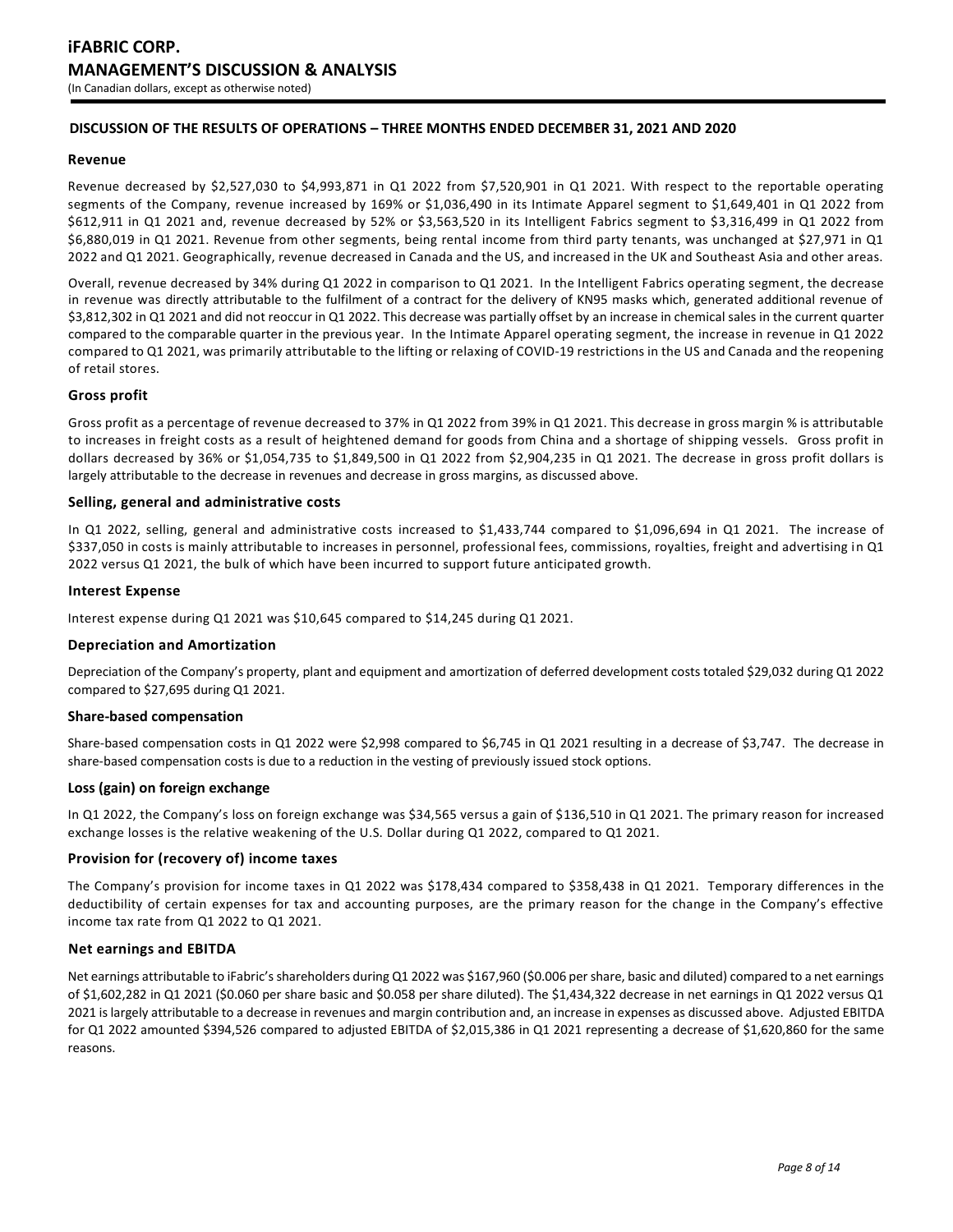# **DISCUSSION OF THE RESULTS OF OPERATIONS – THREE MONTHS ENDED DECEMBER 31, 2021 AND 2020**

#### **Revenue**

Revenue decreased by \$2,527,030 to \$4,993,871 in Q1 2022 from \$7,520,901 in Q1 2021. With respect to the reportable operating segments of the Company, revenue increased by 169% or \$1,036,490 in its Intimate Apparel segment to \$1,649,401 in Q1 2022 from \$612,911 in Q1 2021 and, revenue decreased by 52% or \$3,563,520 in its Intelligent Fabrics segment to \$3,316,499 in Q1 2022 from \$6,880,019 in Q1 2021. Revenue from other segments, being rental income from third party tenants, was unchanged at \$27,971 in Q1 2022 and Q1 2021. Geographically, revenue decreased in Canada and the US, and increased in the UK and Southeast Asia and other areas.

Overall, revenue decreased by 34% during Q1 2022 in comparison to Q1 2021. In the Intelligent Fabrics operating segment, the decrease in revenue was directly attributable to the fulfilment of a contract for the delivery of KN95 masks which, generated additional revenue of \$3,812,302 in Q1 2021 and did not reoccur in Q1 2022. This decrease was partially offset by an increase in chemical sales in the current quarter compared to the comparable quarter in the previous year. In the Intimate Apparel operating segment, the increase in revenue in Q1 2022 compared to Q1 2021, was primarily attributable to the lifting or relaxing of COVID-19 restrictions in the US and Canada and the reopening of retail stores.

## **Gross profit**

Gross profit as a percentage of revenue decreased to 37% in Q1 2022 from 39% in Q1 2021. This decrease in gross margin % is attributable to increases in freight costs as a result of heightened demand for goods from China and a shortage of shipping vessels. Gross profit in dollars decreased by 36% or \$1,054,735 to \$1,849,500 in Q1 2022 from \$2,904,235 in Q1 2021. The decrease in gross profit dollars is largely attributable to the decrease in revenues and decrease in gross margins, as discussed above.

## **Selling, general and administrative costs**

In Q1 2022, selling, general and administrative costs increased to \$1,433,744 compared to \$1,096,694 in Q1 2021. The increase of \$337,050 in costs is mainly attributable to increases in personnel, professional fees, commissions, royalties, freight and advertising in Q1 2022 versus Q1 2021, the bulk of which have been incurred to support future anticipated growth.

#### **Interest Expense**

Interest expense during Q1 2021 was \$10,645 compared to \$14,245 during Q1 2021.

#### **Depreciation and Amortization**

Depreciation of the Company's property, plant and equipment and amortization of deferred development costs totaled \$29,032 during Q1 2022 compared to \$27,695 during Q1 2021.

## **Share-based compensation**

Share-based compensation costs in Q1 2022 were \$2,998 compared to \$6,745 in Q1 2021 resulting in a decrease of \$3,747. The decrease in share-based compensation costs is due to a reduction in the vesting of previously issued stock options.

#### **Loss (gain) on foreign exchange**

In Q1 2022, the Company's loss on foreign exchange was \$34,565 versus a gain of \$136,510 in Q1 2021. The primary reason for increased exchange losses is the relative weakening of the U.S. Dollar during Q1 2022, compared to Q1 2021.

# **Provision for (recovery of) income taxes**

The Company's provision for income taxes in Q1 2022 was \$178,434 compared to \$358,438 in Q1 2021. Temporary differences in the deductibility of certain expenses for tax and accounting purposes, are the primary reason for the change in the Company's effective income tax rate from Q1 2022 to Q1 2021.

## **Net earnings and EBITDA**

Net earnings attributable to iFabric's shareholders during Q1 2022 was \$167,960 (\$0.006 per share, basic and diluted) compared to a net earnings of \$1,602,282 in Q1 2021 (\$0.060 per share basic and \$0.058 per share diluted). The \$1,434,322 decrease in net earnings in Q1 2022 versus Q1 2021 is largely attributable to a decrease in revenues and margin contribution and, an increase in expenses as discussed above. Adjusted EBITDA for Q1 2022 amounted \$394,526 compared to adjusted EBITDA of \$2,015,386 in Q1 2021 representing a decrease of \$1,620,860 for the same reasons.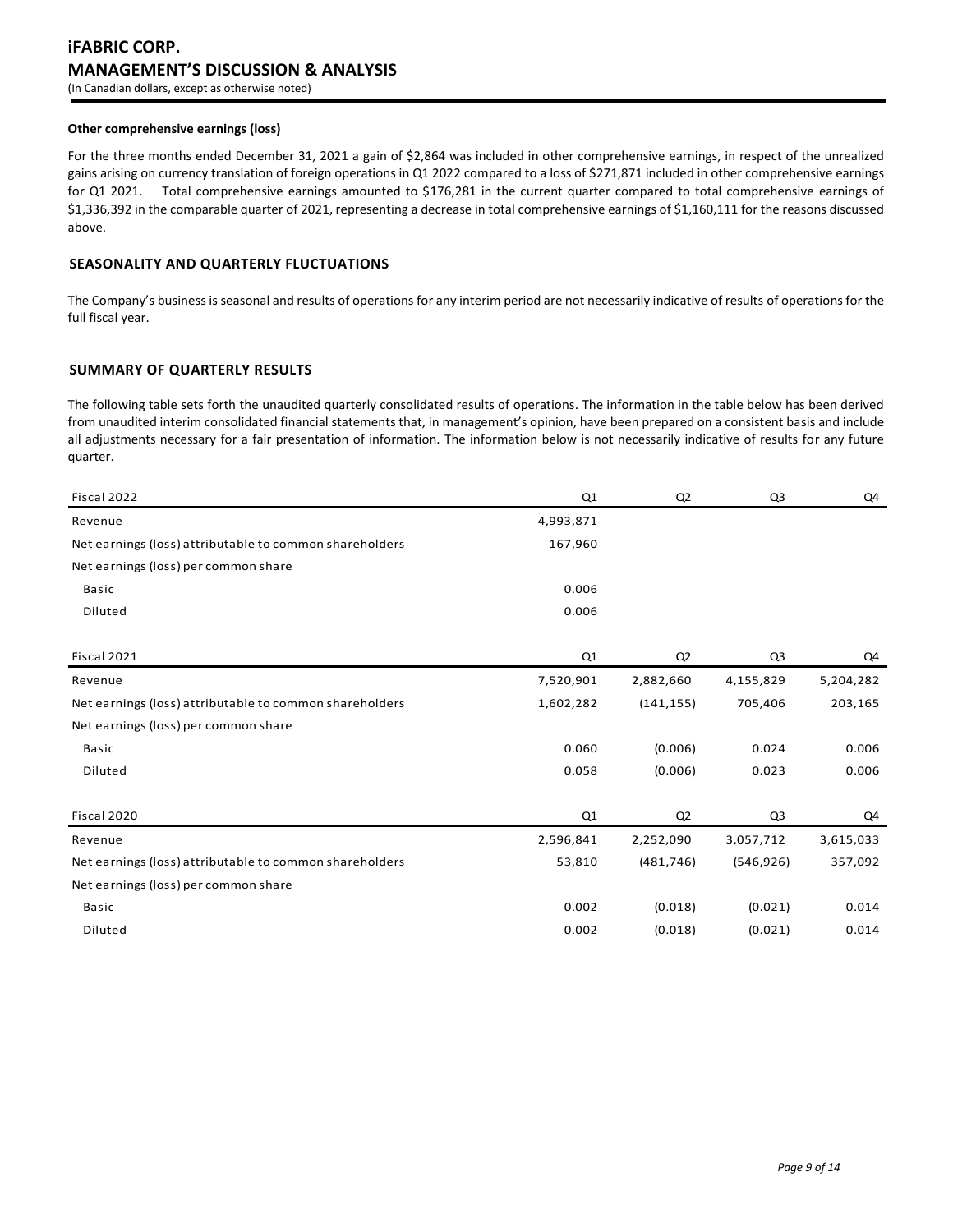# **iFABRIC CORP. MANAGEMENT'S DISCUSSION & ANALYSIS** (In Canadian dollars, except as otherwise noted)

#### **Other comprehensive earnings (loss)**

For the three months ended December 31, 2021 a gain of \$2,864 was included in other comprehensive earnings, in respect of the unrealized gains arising on currency translation of foreign operations in Q1 2022 compared to a loss of \$271,871 included in other comprehensive earnings for Q1 2021. Total comprehensive earnings amounted to \$176,281 in the current quarter compared to total comprehensive earnings of \$1,336,392 in the comparable quarter of 2021, representing a decrease in total comprehensive earnings of \$1,160,111 for the reasons discussed above.

#### **SEASONALITY AND QUARTERLY FLUCTUATIONS**

The Company's business is seasonal and results of operations for any interim period are not necessarily indicative of results of operations for the full fiscal year.

#### **SUMMARY OF QUARTERLY RESULTS**

The following table sets forth the unaudited quarterly consolidated results of operations. The information in the table below has been derived from unaudited interim consolidated financial statements that, in management's opinion, have been prepared on a consistent basis and include all adjustments necessary for a fair presentation of information. The information below is not necessarily indicative of results for any future quarter.

| Fiscal 2022                                             | Q1        | Q <sub>2</sub> | Q <sub>3</sub> | Q4        |
|---------------------------------------------------------|-----------|----------------|----------------|-----------|
| Revenue                                                 | 4,993,871 |                |                |           |
| Net earnings (loss) attributable to common shareholders | 167,960   |                |                |           |
| Net earnings (loss) per common share                    |           |                |                |           |
| <b>Basic</b>                                            | 0.006     |                |                |           |
| Diluted                                                 | 0.006     |                |                |           |
|                                                         |           |                |                |           |
| Fiscal 2021                                             | Q1        | Q <sub>2</sub> | Q3             | Q4        |
| Revenue                                                 | 7,520,901 | 2,882,660      | 4,155,829      | 5,204,282 |
| Net earnings (loss) attributable to common shareholders | 1,602,282 | (141, 155)     | 705,406        | 203,165   |
| Net earnings (loss) per common share                    |           |                |                |           |
| <b>Basic</b>                                            | 0.060     | (0.006)        | 0.024          | 0.006     |
| Diluted                                                 | 0.058     | (0.006)        | 0.023          | 0.006     |
|                                                         |           |                |                |           |
| Fiscal 2020                                             | Q1        | Q2             | Q3             | Q4        |
| Revenue                                                 | 2,596,841 | 2,252,090      | 3,057,712      | 3,615,033 |
| Net earnings (loss) attributable to common shareholders | 53,810    | (481, 746)     | (546, 926)     | 357,092   |
| Net earnings (loss) per common share                    |           |                |                |           |
| <b>Basic</b>                                            | 0.002     | (0.018)        | (0.021)        | 0.014     |
| Diluted                                                 | 0.002     | (0.018)        | (0.021)        | 0.014     |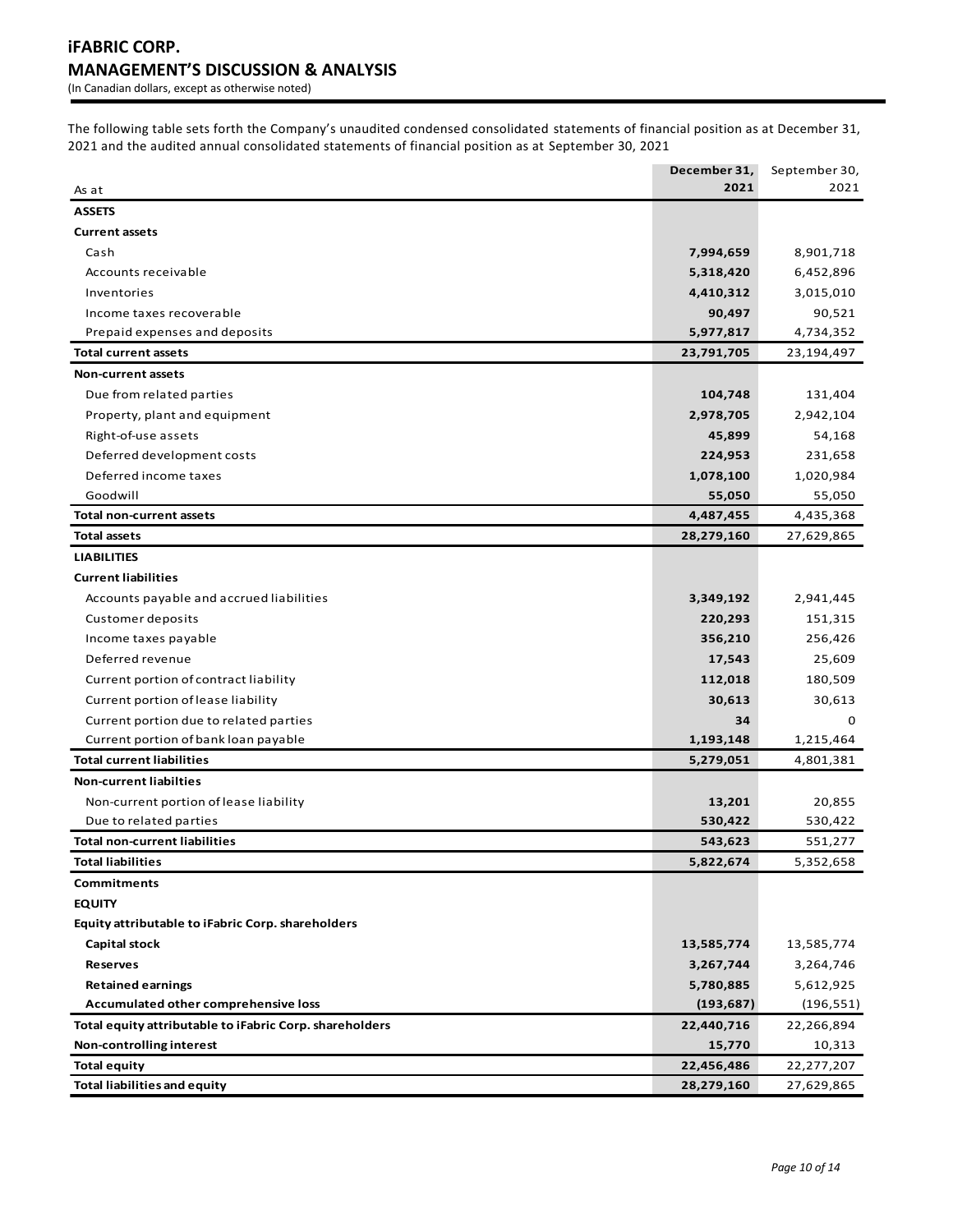(In Canadian dollars, except as otherwise noted)

The following table sets forth the Company's unaudited condensed consolidated statements of financial position as at December 31, 2021 and the audited annual consolidated statements of financial position as at September 30, 2021

|                                                         | December 31, | September 30, |
|---------------------------------------------------------|--------------|---------------|
| As at                                                   | 2021         | 2021          |
| <b>ASSETS</b>                                           |              |               |
| <b>Current assets</b>                                   |              |               |
| Cash                                                    | 7,994,659    | 8,901,718     |
| Accounts receivable                                     | 5,318,420    | 6,452,896     |
| Inventories                                             | 4,410,312    | 3,015,010     |
| Income taxes recoverable                                | 90,497       | 90,521        |
| Prepaid expenses and deposits                           | 5,977,817    | 4,734,352     |
| <b>Total current assets</b>                             | 23,791,705   | 23,194,497    |
| <b>Non-current assets</b>                               |              |               |
| Due from related parties                                | 104,748      | 131,404       |
| Property, plant and equipment                           | 2,978,705    | 2,942,104     |
| Right-of-use assets                                     | 45,899       | 54,168        |
| Deferred development costs                              | 224,953      | 231,658       |
| Deferred income taxes                                   | 1,078,100    | 1,020,984     |
| Goodwill                                                | 55,050       | 55,050        |
| <b>Total non-current assets</b>                         | 4,487,455    | 4,435,368     |
| <b>Total assets</b>                                     | 28,279,160   | 27,629,865    |
| <b>LIABILITIES</b>                                      |              |               |
| <b>Current liabilities</b>                              |              |               |
| Accounts payable and accrued liabilities                | 3,349,192    | 2,941,445     |
| Customer deposits                                       | 220,293      | 151,315       |
| Income taxes payable                                    | 356,210      | 256,426       |
| Deferred revenue                                        | 17,543       | 25,609        |
| Current portion of contract liability                   | 112,018      | 180,509       |
| Current portion of lease liability                      | 30,613       | 30,613        |
| Current portion due to related parties                  | 34           | 0             |
| Current portion of bank loan payable                    | 1,193,148    | 1,215,464     |
| <b>Total current liabilities</b>                        | 5,279,051    | 4,801,381     |
| <b>Non-current liabilties</b>                           |              |               |
| Non-current portion of lease liability                  | 13,201       | 20,855        |
| Due to related parties                                  | 530,422      | 530,422       |
| <b>Total non-current liabilities</b>                    | 543,623      | 551,277       |
| Total liabilities                                       | 5,822,674    | 5,352,658     |
| <b>Commitments</b>                                      |              |               |
| <b>EQUITY</b>                                           |              |               |
| Equity attributable to iFabric Corp. shareholders       |              |               |
| Capital stock                                           | 13,585,774   | 13,585,774    |
| <b>Reserves</b>                                         | 3,267,744    | 3,264,746     |
| <b>Retained earnings</b>                                | 5,780,885    | 5,612,925     |
| Accumulated other comprehensive loss                    | (193, 687)   | (196, 551)    |
| Total equity attributable to iFabric Corp. shareholders | 22,440,716   | 22,266,894    |
| Non-controlling interest                                | 15,770       | 10,313        |
| <b>Total equity</b>                                     | 22,456,486   | 22,277,207    |
| <b>Total liabilities and equity</b>                     | 28,279,160   | 27,629,865    |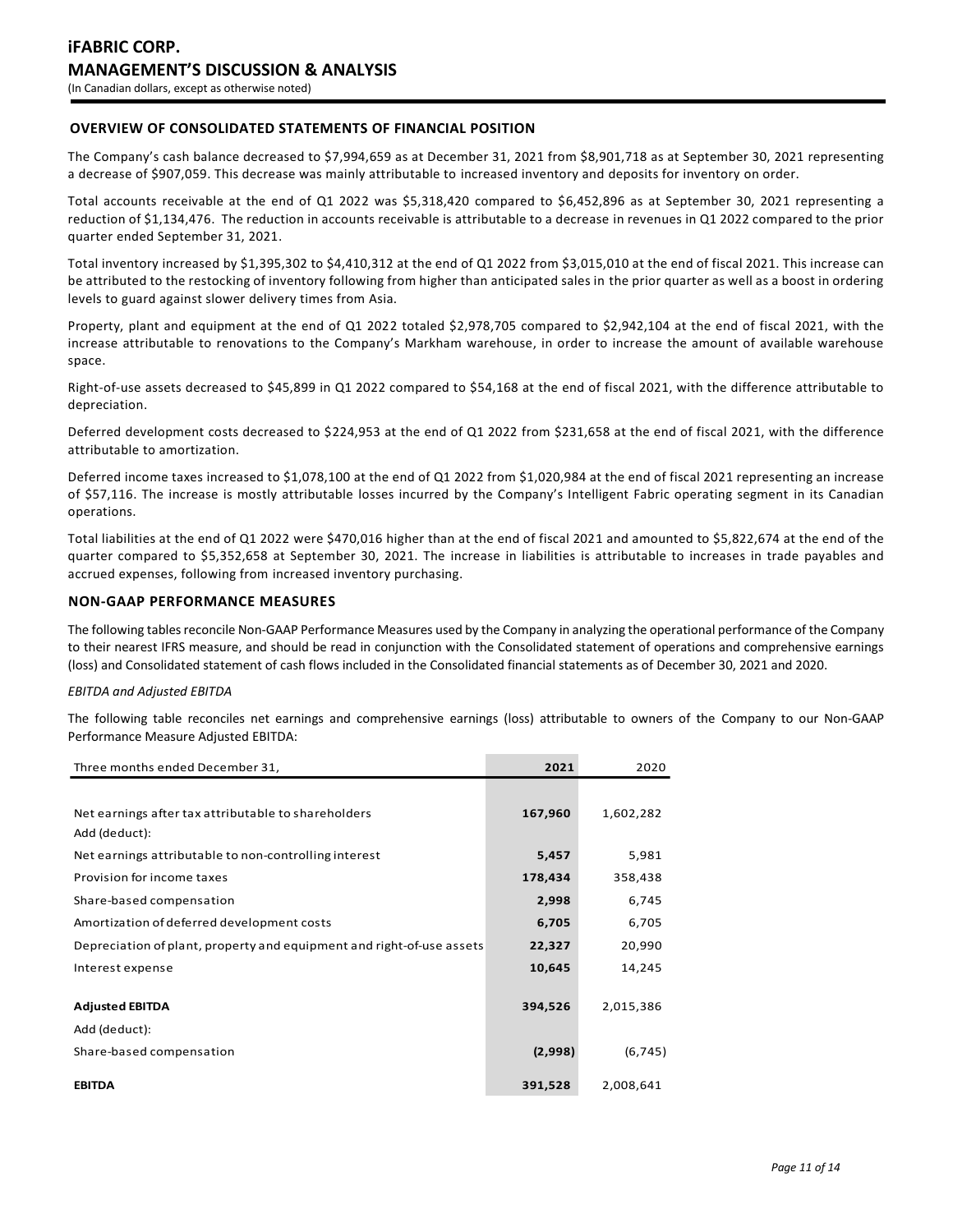# **OVERVIEW OF CONSOLIDATED STATEMENTS OF FINANCIAL POSITION**

The Company's cash balance decreased to \$7,994,659 as at December 31, 2021 from \$8,901,718 as at September 30, 2021 representing a decrease of \$907,059. This decrease was mainly attributable to increased inventory and deposits for inventory on order.

Total accounts receivable at the end of Q1 2022 was \$5,318,420 compared to \$6,452,896 as at September 30, 2021 representing a reduction of \$1,134,476. The reduction in accounts receivable is attributable to a decrease in revenues in Q1 2022 compared to the prior quarter ended September 31, 2021.

Total inventory increased by \$1,395,302 to \$4,410,312 at the end of Q1 2022 from \$3,015,010 at the end of fiscal 2021. This increase can be attributed to the restocking of inventory following from higher than anticipated sales in the prior quarter as well as a boost in ordering levels to guard against slower delivery times from Asia.

Property, plant and equipment at the end of Q1 2022 totaled \$2,978,705 compared to \$2,942,104 at the end of fiscal 2021, with the increase attributable to renovations to the Company's Markham warehouse, in order to increase the amount of available warehouse space.

Right-of-use assets decreased to \$45,899 in Q1 2022 compared to \$54,168 at the end of fiscal 2021, with the difference attributable to depreciation.

Deferred development costs decreased to \$224,953 at the end of Q1 2022 from \$231,658 at the end of fiscal 2021, with the difference attributable to amortization.

Deferred income taxes increased to \$1,078,100 at the end of Q1 2022 from \$1,020,984 at the end of fiscal 2021 representing an increase of \$57,116. The increase is mostly attributable losses incurred by the Company's Intelligent Fabric operating segment in its Canadian operations.

Total liabilities at the end of Q1 2022 were \$470,016 higher than at the end of fiscal 2021 and amounted to \$5,822,674 at the end of the quarter compared to \$5,352,658 at September 30, 2021. The increase in liabilities is attributable to increases in trade payables and accrued expenses, following from increased inventory purchasing.

## **NON-GAAP PERFORMANCE MEASURES**

The following tables reconcile Non-GAAP Performance Measures used by the Company in analyzing the operational performance of the Company to their nearest IFRS measure, and should be read in conjunction with the Consolidated statement of operations and comprehensive earnings (loss) and Consolidated statement of cash flows included in the Consolidated financial statements as of December 30, 2021 and 2020.

#### *EBITDA and Adjusted EBITDA*

The following table reconciles net earnings and comprehensive earnings (loss) attributable to owners of the Company to our Non-GAAP Performance Measure Adjusted EBITDA:

| Three months ended December 31,                                       | 2021    | 2020      |
|-----------------------------------------------------------------------|---------|-----------|
|                                                                       |         |           |
| Net earnings after tax attributable to shareholders                   | 167,960 | 1,602,282 |
| Add (deduct):                                                         |         |           |
| Net earnings attributable to non-controlling interest                 | 5,457   | 5,981     |
| Provision for income taxes                                            | 178,434 | 358,438   |
| Share-based compensation                                              | 2,998   | 6,745     |
| Amortization of deferred development costs                            | 6,705   | 6,705     |
| Depreciation of plant, property and equipment and right-of-use assets | 22,327  | 20,990    |
| Interest expense                                                      | 10,645  | 14,245    |
|                                                                       |         |           |
| <b>Adjusted EBITDA</b>                                                | 394,526 | 2,015,386 |
| Add (deduct):                                                         |         |           |
| Share-based compensation                                              | (2,998) | (6, 745)  |
| <b>EBITDA</b>                                                         | 391,528 | 2,008,641 |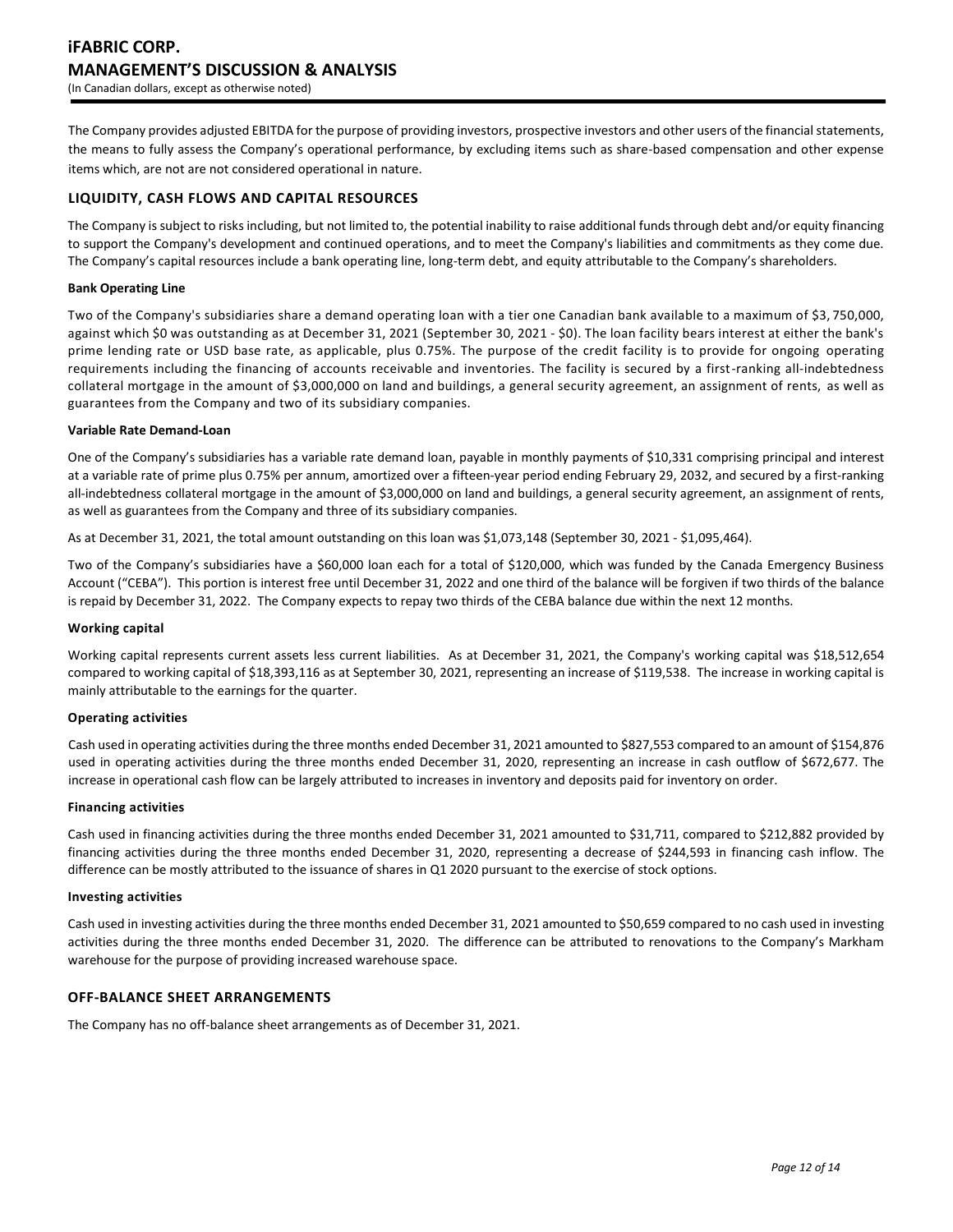The Company provides adjusted EBITDA for the purpose of providing investors, prospective investors and other users of the financial statements, the means to fully assess the Company's operational performance, by excluding items such as share-based compensation and other expense items which, are not are not considered operational in nature.

## **LIQUIDITY, CASH FLOWS AND CAPITAL RESOURCES**

The Company is subject to risks including, but not limited to, the potential inability to raise additional funds through debt and/or equity financing to support the Company's development and continued operations, and to meet the Company's liabilities and commitments as they come due. The Company's capital resources include a bank operating line, long-term debt, and equity attributable to the Company's shareholders.

## **Bank Operating Line**

Two of the Company's subsidiaries share a demand operating loan with a tier one Canadian bank available to a maximum of \$3, 750,000, against which \$0 was outstanding as at December 31, 2021 (September 30, 2021 - \$0). The loan facility bears interest at either the bank's prime lending rate or USD base rate, as applicable, plus 0.75%. The purpose of the credit facility is to provide for ongoing operating requirements including the financing of accounts receivable and inventories. The facility is secured by a first-ranking all-indebtedness collateral mortgage in the amount of \$3,000,000 on land and buildings, a general security agreement, an assignment of rents, as well as guarantees from the Company and two of its subsidiary companies.

#### **Variable Rate Demand-Loan**

One of the Company's subsidiaries has a variable rate demand loan, payable in monthly payments of \$10,331 comprising principal and interest at a variable rate of prime plus 0.75% per annum, amortized over a fifteen-year period ending February 29, 2032, and secured by a first-ranking all-indebtedness collateral mortgage in the amount of \$3,000,000 on land and buildings, a general security agreement, an assignment of rents, as well as guarantees from the Company and three of its subsidiary companies.

As at December 31, 2021, the total amount outstanding on this loan was \$1,073,148 (September 30, 2021 - \$1,095,464).

Two of the Company's subsidiaries have a \$60,000 loan each for a total of \$120,000, which was funded by the Canada Emergency Business Account ("CEBA"). This portion is interest free until December 31, 2022 and one third of the balance will be forgiven if two thirds of the balance is repaid by December 31, 2022. The Company expects to repay two thirds of the CEBA balance due within the next 12 months.

#### **Working capital**

Working capital represents current assets less current liabilities. As at December 31, 2021, the Company's working capital was \$18,512,654 compared to working capital of \$18,393,116 as at September 30, 2021, representing an increase of \$119,538. The increase in working capital is mainly attributable to the earnings for the quarter.

#### **Operating activities**

Cash used in operating activities during the three months ended December 31, 2021 amounted to \$827,553 compared to an amount of \$154,876 used in operating activities during the three months ended December 31, 2020, representing an increase in cash outflow of \$672,677. The increase in operational cash flow can be largely attributed to increases in inventory and deposits paid for inventory on order.

#### **Financing activities**

Cash used in financing activities during the three months ended December 31, 2021 amounted to \$31,711, compared to \$212,882 provided by financing activities during the three months ended December 31, 2020, representing a decrease of \$244,593 in financing cash inflow. The difference can be mostly attributed to the issuance of shares in Q1 2020 pursuant to the exercise of stock options.

#### **Investing activities**

Cash used in investing activities during the three months ended December 31, 2021 amounted to \$50,659 compared to no cash used in investing activities during the three months ended December 31, 2020. The difference can be attributed to renovations to the Company's Markham warehouse for the purpose of providing increased warehouse space.

#### **OFF-BALANCE SHEET ARRANGEMENTS**

The Company has no off-balance sheet arrangements as of December 31, 2021.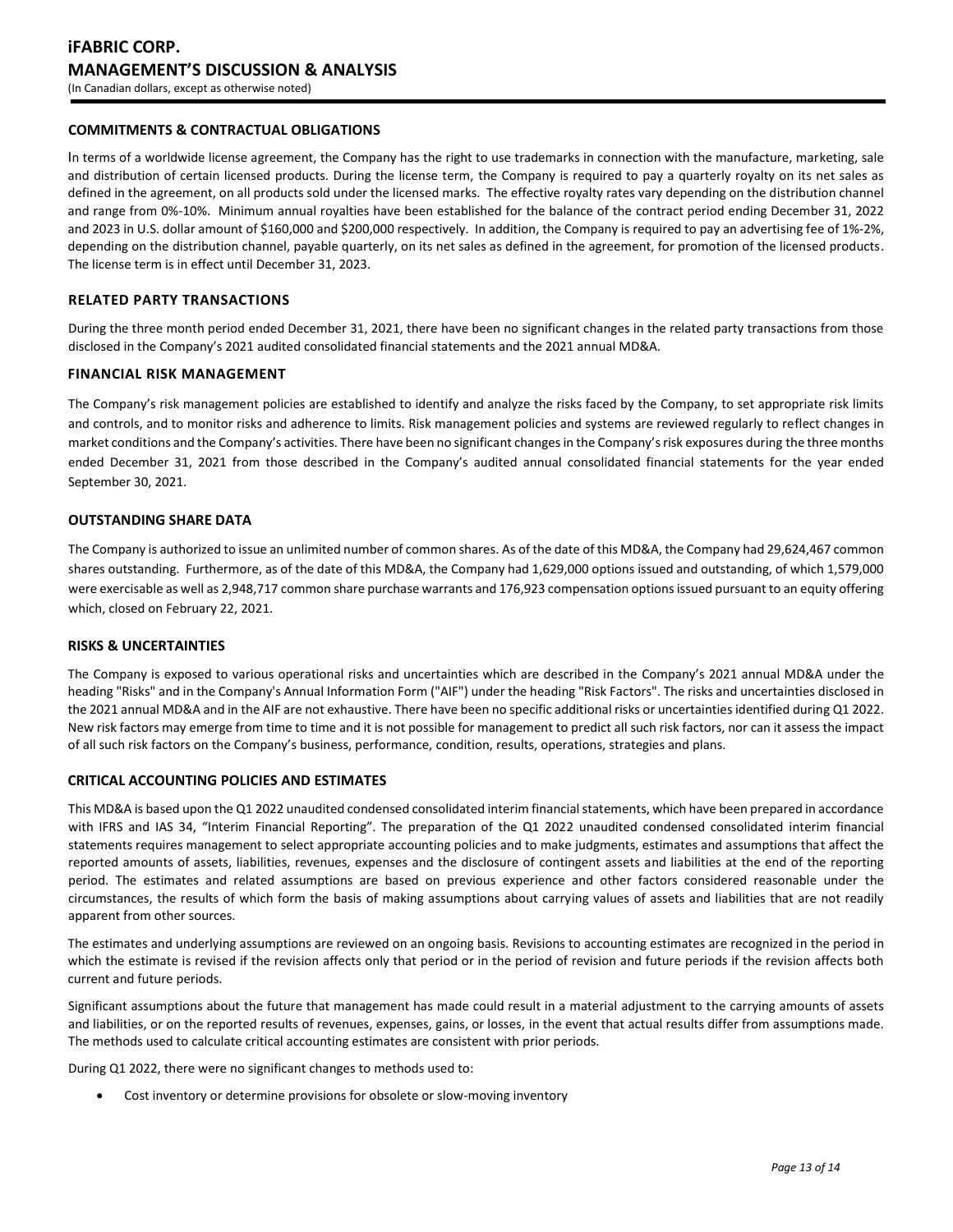## **COMMITMENTS & CONTRACTUAL OBLIGATIONS**

In terms of a worldwide license agreement, the Company has the right to use trademarks in connection with the manufacture, marketing, sale and distribution of certain licensed products. During the license term, the Company is required to pay a quarterly royalty on its net sales as defined in the agreement, on all products sold under the licensed marks. The effective royalty rates vary depending on the distribution channel and range from 0%-10%. Minimum annual royalties have been established for the balance of the contract period ending December 31, 2022 and 2023 in U.S. dollar amount of \$160,000 and \$200,000 respectively. In addition, the Company is required to pay an advertising fee of 1%-2%, depending on the distribution channel, payable quarterly, on its net sales as defined in the agreement, for promotion of the licensed products. The license term is in effect until December 31, 2023.

#### **RELATED PARTY TRANSACTIONS**

During the three month period ended December 31, 2021, there have been no significant changes in the related party transactions from those disclosed in the Company's 2021 audited consolidated financial statements and the 2021 annual MD&A.

#### **FINANCIAL RISK MANAGEMENT**

The Company's risk management policies are established to identify and analyze the risks faced by the Company, to set appropriate risk limits and controls, and to monitor risks and adherence to limits. Risk management policies and systems are reviewed regularly to reflect changes in market conditions and the Company's activities. There have been no significant changes in the Company's risk exposures during the three months ended December 31, 2021 from those described in the Company's audited annual consolidated financial statements for the year ended September 30, 2021.

## **OUTSTANDING SHARE DATA**

The Company is authorized to issue an unlimited number of common shares. As of the date of this MD&A, the Company had 29,624,467 common shares outstanding. Furthermore, as of the date of this MD&A, the Company had 1,629,000 options issued and outstanding, of which 1,579,000 were exercisable as well as 2,948,717 common share purchase warrants and 176,923 compensation options issued pursuant to an equity offering which, closed on February 22, 2021.

#### **RISKS & UNCERTAINTIES**

The Company is exposed to various operational risks and uncertainties which are described in the Company's 2021 annual MD&A under the heading "Risks" and in the Company's Annual Information Form ("AIF") under the heading "Risk Factors". The risks and uncertainties disclosed in the 2021 annual MD&A and in the AIF are not exhaustive. There have been no specific additional risks or uncertainties identified during Q1 2022. New risk factors may emerge from time to time and it is not possible for management to predict all such risk factors, nor can it assess the impact of all such risk factors on the Company's business, performance, condition, results, operations, strategies and plans.

#### **CRITICAL ACCOUNTING POLICIES AND ESTIMATES**

This MD&A is based upon the Q1 2022 unaudited condensed consolidated interim financial statements, which have been prepared in accordance with IFRS and IAS 34, "Interim Financial Reporting". The preparation of the Q1 2022 unaudited condensed consolidated interim financial statements requires management to select appropriate accounting policies and to make judgments, estimates and assumptions that affect the reported amounts of assets, liabilities, revenues, expenses and the disclosure of contingent assets and liabilities at the end of the reporting period. The estimates and related assumptions are based on previous experience and other factors considered reasonable under the circumstances, the results of which form the basis of making assumptions about carrying values of assets and liabilities that are not readily apparent from other sources.

The estimates and underlying assumptions are reviewed on an ongoing basis. Revisions to accounting estimates are recognized in the period in which the estimate is revised if the revision affects only that period or in the period of revision and future periods if the revision affects both current and future periods.

Significant assumptions about the future that management has made could result in a material adjustment to the carrying amounts of assets and liabilities, or on the reported results of revenues, expenses, gains, or losses, in the event that actual results differ from assumptions made. The methods used to calculate critical accounting estimates are consistent with prior periods.

During Q1 2022, there were no significant changes to methods used to:

Cost inventory or determine provisions for obsolete or slow-moving inventory